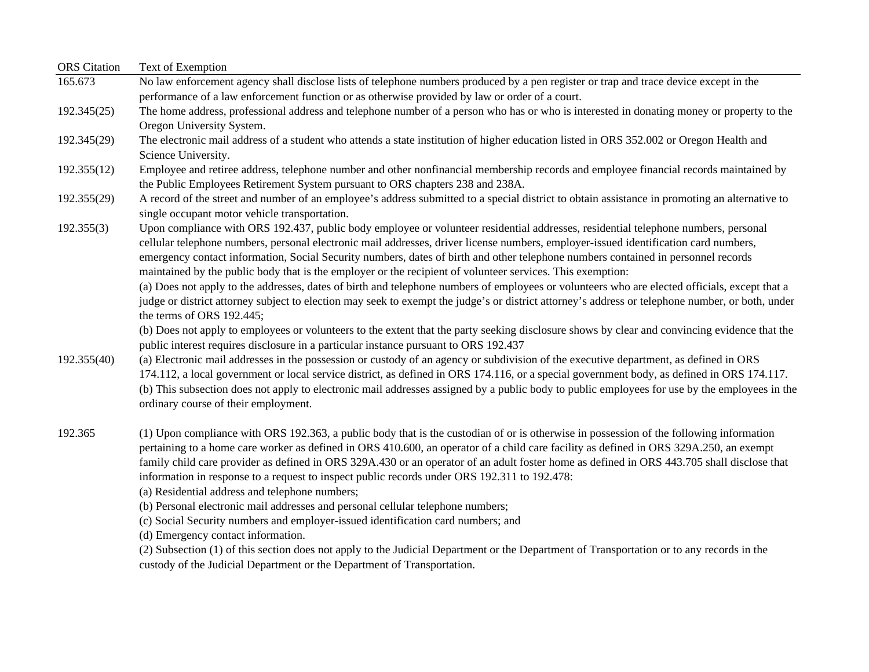| <b>ORS</b> Citation | Text of Exemption                                                                                                                                                                                                                                                                                                                                                                                                                                                                                                                                                                 |
|---------------------|-----------------------------------------------------------------------------------------------------------------------------------------------------------------------------------------------------------------------------------------------------------------------------------------------------------------------------------------------------------------------------------------------------------------------------------------------------------------------------------------------------------------------------------------------------------------------------------|
| 165.673             | No law enforcement agency shall disclose lists of telephone numbers produced by a pen register or trap and trace device except in the                                                                                                                                                                                                                                                                                                                                                                                                                                             |
|                     | performance of a law enforcement function or as otherwise provided by law or order of a court.                                                                                                                                                                                                                                                                                                                                                                                                                                                                                    |
| 192.345(25)         | The home address, professional address and telephone number of a person who has or who is interested in donating money or property to the<br>Oregon University System.                                                                                                                                                                                                                                                                                                                                                                                                            |
| 192.345(29)         | The electronic mail address of a student who attends a state institution of higher education listed in ORS 352.002 or Oregon Health and<br>Science University.                                                                                                                                                                                                                                                                                                                                                                                                                    |
| 192.355(12)         | Employee and retiree address, telephone number and other nonfinancial membership records and employee financial records maintained by<br>the Public Employees Retirement System pursuant to ORS chapters 238 and 238A.                                                                                                                                                                                                                                                                                                                                                            |
| 192.355(29)         | A record of the street and number of an employee's address submitted to a special district to obtain assistance in promoting an alternative to<br>single occupant motor vehicle transportation.                                                                                                                                                                                                                                                                                                                                                                                   |
| 192.355(3)          | Upon compliance with ORS 192.437, public body employee or volunteer residential addresses, residential telephone numbers, personal<br>cellular telephone numbers, personal electronic mail addresses, driver license numbers, employer-issued identification card numbers,<br>emergency contact information, Social Security numbers, dates of birth and other telephone numbers contained in personnel records<br>maintained by the public body that is the employer or the recipient of volunteer services. This exemption:                                                     |
|                     | (a) Does not apply to the addresses, dates of birth and telephone numbers of employees or volunteers who are elected officials, except that a<br>judge or district attorney subject to election may seek to exempt the judge's or district attorney's address or telephone number, or both, under<br>the terms of ORS 192.445;                                                                                                                                                                                                                                                    |
|                     | (b) Does not apply to employees or volunteers to the extent that the party seeking disclosure shows by clear and convincing evidence that the<br>public interest requires disclosure in a particular instance pursuant to ORS 192.437                                                                                                                                                                                                                                                                                                                                             |
| 192.355(40)         | (a) Electronic mail addresses in the possession or custody of an agency or subdivision of the executive department, as defined in ORS<br>174.112, a local government or local service district, as defined in ORS 174.116, or a special government body, as defined in ORS 174.117.<br>(b) This subsection does not apply to electronic mail addresses assigned by a public body to public employees for use by the employees in the<br>ordinary course of their employment.                                                                                                      |
| 192.365             | (1) Upon compliance with ORS 192.363, a public body that is the custodian of or is otherwise in possession of the following information<br>pertaining to a home care worker as defined in ORS 410.600, an operator of a child care facility as defined in ORS 329A.250, an exempt<br>family child care provider as defined in ORS 329A.430 or an operator of an adult foster home as defined in ORS 443.705 shall disclose that<br>information in response to a request to inspect public records under ORS 192.311 to 192.478:<br>(a) Residential address and telephone numbers; |
|                     | (b) Personal electronic mail addresses and personal cellular telephone numbers;                                                                                                                                                                                                                                                                                                                                                                                                                                                                                                   |
|                     | (c) Social Security numbers and employer-issued identification card numbers; and                                                                                                                                                                                                                                                                                                                                                                                                                                                                                                  |
|                     | (d) Emergency contact information.                                                                                                                                                                                                                                                                                                                                                                                                                                                                                                                                                |
|                     | (2) Subsection (1) of this section does not apply to the Judicial Department or the Department of Transportation or to any records in the                                                                                                                                                                                                                                                                                                                                                                                                                                         |

custody of the Judicial Department or the Department of Transportation.